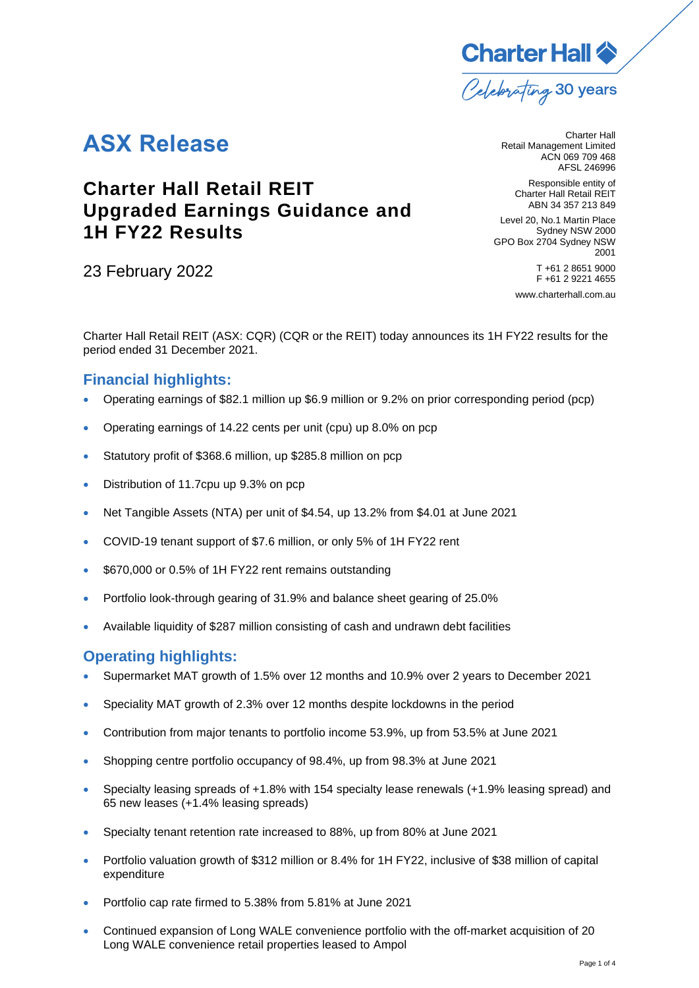

# **ASX Release**

## **Charter Hall Retail REIT Upgraded Earnings Guidance and 1H FY22 Results**

23 February 2022

Charter Hall Retail Management Limited ACN 069 709 468 AFSL 246996

> Responsible entity of Charter Hall Retail REIT ABN 34 357 213 849

Level 20, No.1 Martin Place Sydney NSW 2000 GPO Box 2704 Sydney NSW 2001 T +61 2 8651 9000 F +61 2 9221 4655 [www.charterhall.com.au](http://www.charterhall.com.au/)

Charter Hall Retail REIT (ASX: CQR) (CQR or the REIT) today announces its 1H FY22 results for the period ended 31 December 2021.

## **Financial highlights:**

- Operating earnings of \$82.1 million up \$6.9 million or 9.2% on prior corresponding period (pcp)
- Operating earnings of 14.22 cents per unit (cpu) up 8.0% on pcp
- Statutory profit of \$368.6 million, up \$285.8 million on pcp
- Distribution of 11.7cpu up 9.3% on pcp
- Net Tangible Assets (NTA) per unit of \$4.54, up 13.2% from \$4.01 at June 2021
- COVID-19 tenant support of \$7.6 million, or only 5% of 1H FY22 rent
- \$670,000 or 0.5% of 1H FY22 rent remains outstanding
- Portfolio look-through gearing of 31.9% and balance sheet gearing of 25.0%
- Available liquidity of \$287 million consisting of cash and undrawn debt facilities

### **Operating highlights:**

- Supermarket MAT growth of 1.5% over 12 months and 10.9% over 2 years to December 2021
- Speciality MAT growth of 2.3% over 12 months despite lockdowns in the period
- Contribution from major tenants to portfolio income 53.9%, up from 53.5% at June 2021
- Shopping centre portfolio occupancy of 98.4%, up from 98.3% at June 2021
- Specialty leasing spreads of +1.8% with 154 specialty lease renewals (+1.9% leasing spread) and 65 new leases (+1.4% leasing spreads)
- Specialty tenant retention rate increased to 88%, up from 80% at June 2021
- Portfolio valuation growth of \$312 million or 8.4% for 1H FY22, inclusive of \$38 million of capital expenditure
- Portfolio cap rate firmed to 5.38% from 5.81% at June 2021
- Continued expansion of Long WALE convenience portfolio with the off-market acquisition of 20 Long WALE convenience retail properties leased to Ampol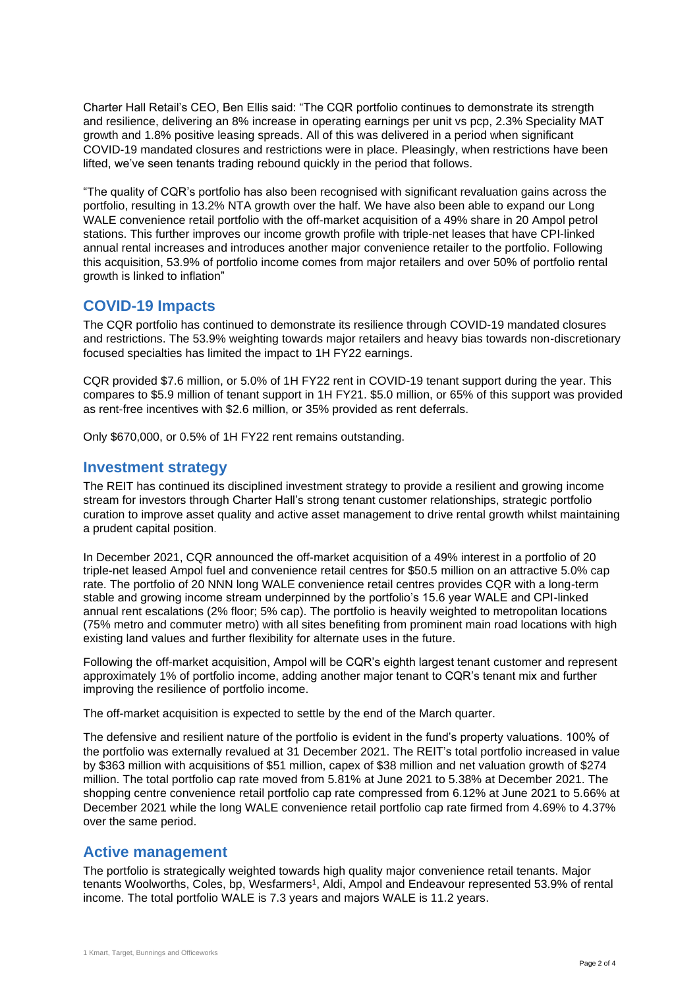Charter Hall Retail's CEO, Ben Ellis said: "The CQR portfolio continues to demonstrate its strength and resilience, delivering an 8% increase in operating earnings per unit vs pcp, 2.3% Speciality MAT growth and 1.8% positive leasing spreads. All of this was delivered in a period when significant COVID-19 mandated closures and restrictions were in place. Pleasingly, when restrictions have been lifted, we've seen tenants trading rebound quickly in the period that follows.

"The quality of CQR's portfolio has also been recognised with significant revaluation gains across the portfolio, resulting in 13.2% NTA growth over the half. We have also been able to expand our Long WALE convenience retail portfolio with the off-market acquisition of a 49% share in 20 Ampol petrol stations. This further improves our income growth profile with triple-net leases that have CPI-linked annual rental increases and introduces another major convenience retailer to the portfolio. Following this acquisition, 53.9% of portfolio income comes from major retailers and over 50% of portfolio rental growth is linked to inflation"

#### **COVID-19 Impacts**

The CQR portfolio has continued to demonstrate its resilience through COVID-19 mandated closures and restrictions. The 53.9% weighting towards major retailers and heavy bias towards non-discretionary focused specialties has limited the impact to 1H FY22 earnings.

CQR provided \$7.6 million, or 5.0% of 1H FY22 rent in COVID-19 tenant support during the year. This compares to \$5.9 million of tenant support in 1H FY21. \$5.0 million, or 65% of this support was provided as rent-free incentives with \$2.6 million, or 35% provided as rent deferrals.

Only \$670,000, or 0.5% of 1H FY22 rent remains outstanding.

#### **Investment strategy**

The REIT has continued its disciplined investment strategy to provide a resilient and growing income stream for investors through Charter Hall's strong tenant customer relationships, strategic portfolio curation to improve asset quality and active asset management to drive rental growth whilst maintaining a prudent capital position.

In December 2021, CQR announced the off-market acquisition of a 49% interest in a portfolio of 20 triple-net leased Ampol fuel and convenience retail centres for \$50.5 million on an attractive 5.0% cap rate. The portfolio of 20 NNN long WALE convenience retail centres provides CQR with a long-term stable and growing income stream underpinned by the portfolio's 15.6 year WALE and CPI-linked annual rent escalations (2% floor; 5% cap). The portfolio is heavily weighted to metropolitan locations (75% metro and commuter metro) with all sites benefiting from prominent main road locations with high existing land values and further flexibility for alternate uses in the future.

Following the off-market acquisition, Ampol will be CQR's eighth largest tenant customer and represent approximately 1% of portfolio income, adding another major tenant to CQR's tenant mix and further improving the resilience of portfolio income.

The off-market acquisition is expected to settle by the end of the March quarter.

The defensive and resilient nature of the portfolio is evident in the fund's property valuations. 100% of the portfolio was externally revalued at 31 December 2021. The REIT's total portfolio increased in value by \$363 million with acquisitions of \$51 million, capex of \$38 million and net valuation growth of \$274 million. The total portfolio cap rate moved from 5.81% at June 2021 to 5.38% at December 2021. The shopping centre convenience retail portfolio cap rate compressed from 6.12% at June 2021 to 5.66% at December 2021 while the long WALE convenience retail portfolio cap rate firmed from 4.69% to 4.37% over the same period.

#### **Active management**

The portfolio is strategically weighted towards high quality major convenience retail tenants. Major tenants Woolworths, Coles, bp, Wesfarmers<sup>1</sup>, Aldi, Ampol and Endeavour represented 53.9% of rental income. The total portfolio WALE is 7.3 years and majors WALE is 11.2 years.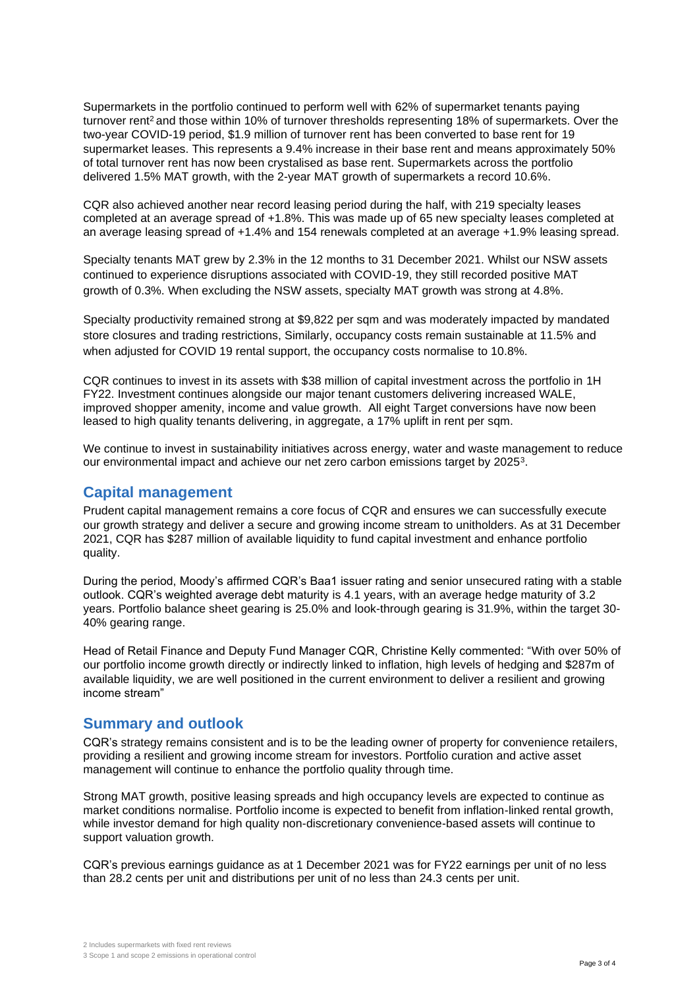Supermarkets in the portfolio continued to perform well with 62% of supermarket tenants paying turnover rent<sup>2</sup> and those within 10% of turnover thresholds representing 18% of supermarkets. Over the two-year COVID-19 period, \$1.9 million of turnover rent has been converted to base rent for 19 supermarket leases. This represents a 9.4% increase in their base rent and means approximately 50% of total turnover rent has now been crystalised as base rent. Supermarkets across the portfolio delivered 1.5% MAT growth, with the 2-year MAT growth of supermarkets a record 10.6%.

CQR also achieved another near record leasing period during the half, with 219 specialty leases completed at an average spread of +1.8%. This was made up of 65 new specialty leases completed at an average leasing spread of +1.4% and 154 renewals completed at an average +1.9% leasing spread.

Specialty tenants MAT grew by 2.3% in the 12 months to 31 December 2021. Whilst our NSW assets continued to experience disruptions associated with COVID-19, they still recorded positive MAT growth of 0.3%. When excluding the NSW assets, specialty MAT growth was strong at 4.8%.

Specialty productivity remained strong at \$9,822 per sqm and was moderately impacted by mandated store closures and trading restrictions, Similarly, occupancy costs remain sustainable at 11.5% and when adjusted for COVID 19 rental support, the occupancy costs normalise to 10.8%.

CQR continues to invest in its assets with \$38 million of capital investment across the portfolio in 1H FY22. Investment continues alongside our major tenant customers delivering increased WALE, improved shopper amenity, income and value growth. All eight Target conversions have now been leased to high quality tenants delivering, in aggregate, a 17% uplift in rent per sqm.

We continue to invest in sustainability initiatives across energy, water and waste management to reduce our environmental impact and achieve our net zero carbon emissions target by 2025 $^3$ .

#### **Capital management**

Prudent capital management remains a core focus of CQR and ensures we can successfully execute our growth strategy and deliver a secure and growing income stream to unitholders. As at 31 December 2021, CQR has \$287 million of available liquidity to fund capital investment and enhance portfolio quality.

During the period, Moody's affirmed CQR's Baa1 issuer rating and senior unsecured rating with a stable outlook. CQR's weighted average debt maturity is 4.1 years, with an average hedge maturity of 3.2 years. Portfolio balance sheet gearing is 25.0% and look-through gearing is 31.9%, within the target 30- 40% gearing range.

Head of Retail Finance and Deputy Fund Manager CQR, Christine Kelly commented: "With over 50% of our portfolio income growth directly or indirectly linked to inflation, high levels of hedging and \$287m of available liquidity, we are well positioned in the current environment to deliver a resilient and growing income stream"

#### **Summary and outlook**

CQR's strategy remains consistent and is to be the leading owner of property for convenience retailers, providing a resilient and growing income stream for investors. Portfolio curation and active asset management will continue to enhance the portfolio quality through time.

Strong MAT growth, positive leasing spreads and high occupancy levels are expected to continue as market conditions normalise. Portfolio income is expected to benefit from inflation-linked rental growth, while investor demand for high quality non-discretionary convenience-based assets will continue to support valuation growth.

CQR's previous earnings guidance as at 1 December 2021 was for FY22 earnings per unit of no less than 28.2 cents per unit and distributions per unit of no less than 24.3 cents per unit.